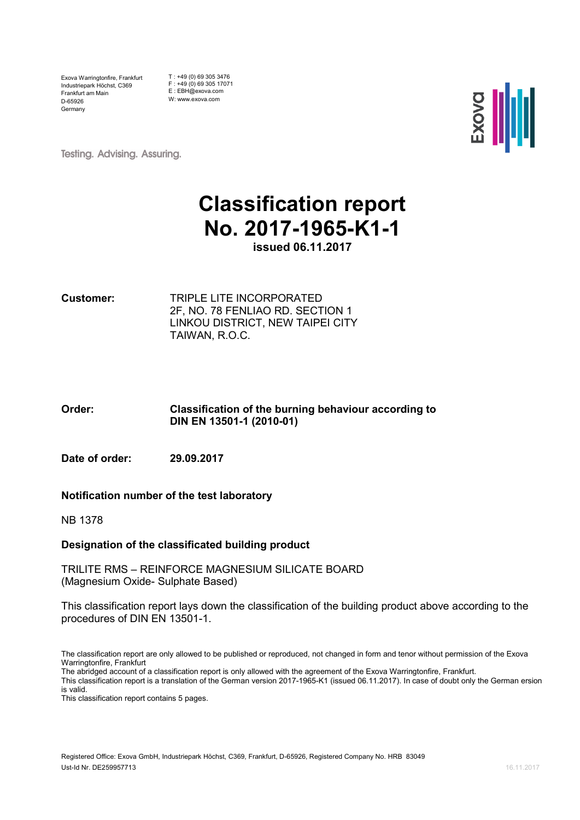Exova Warringtonfire, Frankfurt Industriepark Höchst, C369 Frankfurt am Main D-65926 Germany

T : +49 (0) 69 305 3476 F : +49 (0) 69 305 17071 E : EBH@exova.com W: www.exova.com



**Testing. Advising. Assuring.** 

# **Classification report No. 2017-1965-K1-1**

**issued 06.11.2017**

**Customer:** TRIPLE LITE INCORPORATED 2F, NO. 78 FENLIAO RD. SECTION 1 LINKOU DISTRICT, NEW TAIPEI CITY TAIWAN, R.O.C.

**Order: Classification of the burning behaviour according to DIN EN 13501-1 (2010-01)** 

**Date of order: 29.09.2017**

#### **Notification number of the test laboratory**

NB 1378

#### **Designation of the classificated building product**

TRILITE RMS – REINFORCE MAGNESIUM SILICATE BOARD (Magnesium Oxide- Sulphate Based)

This classification report lays down the classification of the building product above according to the procedures of DIN EN 13501-1.

The abridged account of a classification report is only allowed with the agreement of the Exova Warringtonfire, Frankfurt.

The classification report are only allowed to be published or reproduced, not changed in form and tenor without permission of the Exova Warringtonfire, Frankfurt

This classification report is a translation of the German version 2017-1965-K1 (issued 06.11.2017). In case of doubt only the German ersion is valid.

This classification report contains 5 pages.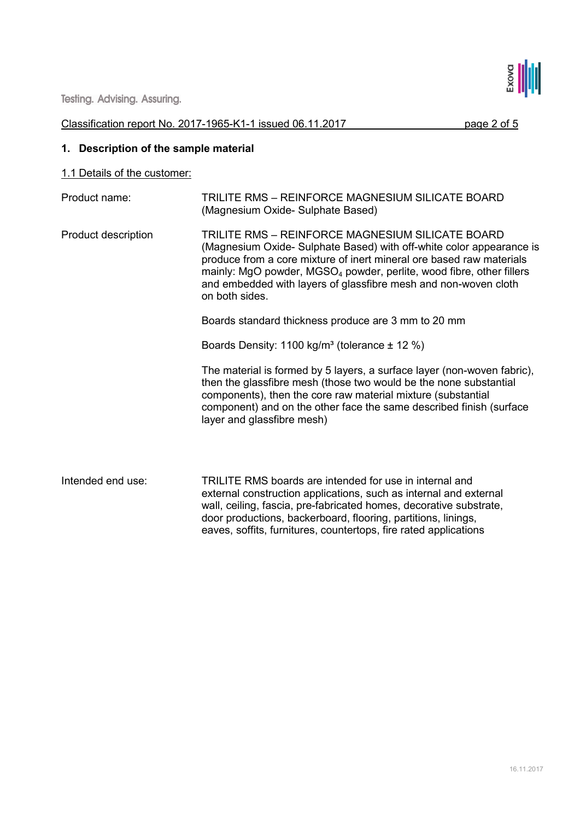

# Classification report No. 2017-1965-K1-1 issued 06.11.2017 page 2 of 5

# **1. Description of the sample material**

# 1.1 Details of the customer:

| Product name:       | TRILITE RMS - REINFORCE MAGNESIUM SILICATE BOARD<br>(Magnesium Oxide- Sulphate Based)                                                                                                                                                                                                                                                                                     |  |
|---------------------|---------------------------------------------------------------------------------------------------------------------------------------------------------------------------------------------------------------------------------------------------------------------------------------------------------------------------------------------------------------------------|--|
| Product description | TRILITE RMS - REINFORCE MAGNESIUM SILICATE BOARD<br>(Magnesium Oxide- Sulphate Based) with off-white color appearance is<br>produce from a core mixture of inert mineral ore based raw materials<br>mainly: MgO powder, MGSO <sub>4</sub> powder, perlite, wood fibre, other fillers<br>and embedded with layers of glassfibre mesh and non-woven cloth<br>on both sides. |  |
|                     | Boards standard thickness produce are 3 mm to 20 mm                                                                                                                                                                                                                                                                                                                       |  |
|                     | Boards Density: 1100 kg/m <sup>3</sup> (tolerance $\pm$ 12 %)                                                                                                                                                                                                                                                                                                             |  |
|                     | The material is formed by 5 layers, a surface layer (non-woven fabric),<br>then the glassfibre mesh (those two would be the none substantial<br>components), then the core raw material mixture (substantial<br>component) and on the other face the same described finish (surface<br>layer and glassfibre mesh)                                                         |  |
| Intended end use:   | TRILITE RMS boards are intended for use in internal and<br>external construction applications, such as internal and external<br>wall, ceiling, fascia, pre-fabricated homes, decorative substrate,<br>door productions, backerboard, flooring, partitions, linings,<br>eaves, soffits, furnitures, countertops, fire rated applications                                   |  |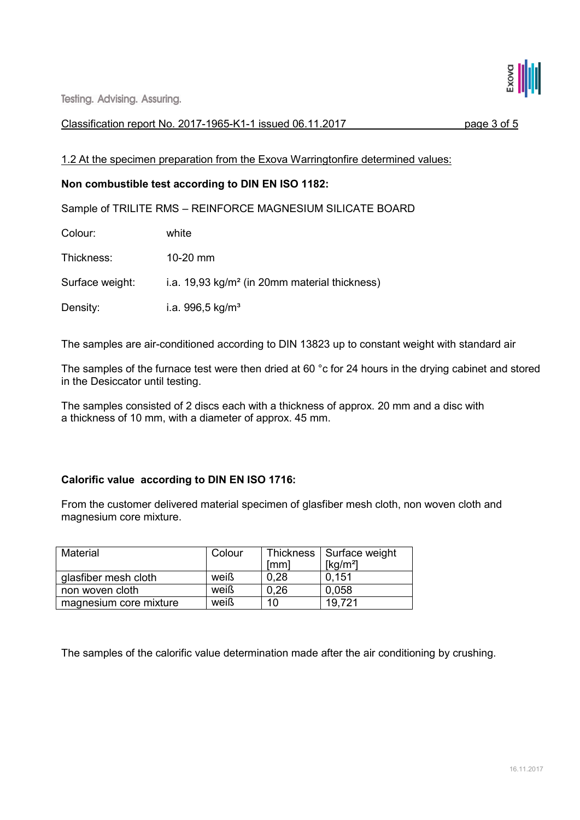

**Testing. Advising. Assuring.** 

#### Classification report No. 2017-1965-K1-1 issued 06.11.2017 page 3 of 5

1.2 At the specimen preparation from the Exova Warringtonfire determined values:

# **Non combustible test according to DIN EN ISO 1182:**

Sample of TRILITE RMS – REINFORCE MAGNESIUM SILICATE BOARD

Colour: white

Thickness: 10-20 mm

Surface weight: i.a. 19,93 kg/m<sup>2</sup> (in 20mm material thickness)

Density: i.a. 996,5 kg/m<sup>3</sup>

The samples are air-conditioned according to DIN 13823 up to constant weight with standard air

The samples of the furnace test were then dried at 60 °c for 24 hours in the drying cabinet and stored in the Desiccator until testing.

The samples consisted of 2 discs each with a thickness of approx. 20 mm and a disc with a thickness of 10 mm, with a diameter of approx. 45 mm.

# **Calorific value according to DIN EN ISO 1716:**

From the customer delivered material specimen of glasfiber mesh cloth, non woven cloth and magnesium core mixture.

| Material               | Colour |      | Thickness   Surface weight |
|------------------------|--------|------|----------------------------|
|                        |        | [mm] | [kg/m <sup>2</sup> ]       |
| glasfiber mesh cloth   | weiß   | 0.28 | 0.151                      |
| non woven cloth        | weiß   | 0.26 | 0.058                      |
| magnesium core mixture | weiß   | 10   | 19.721                     |

The samples of the calorific value determination made after the air conditioning by crushing.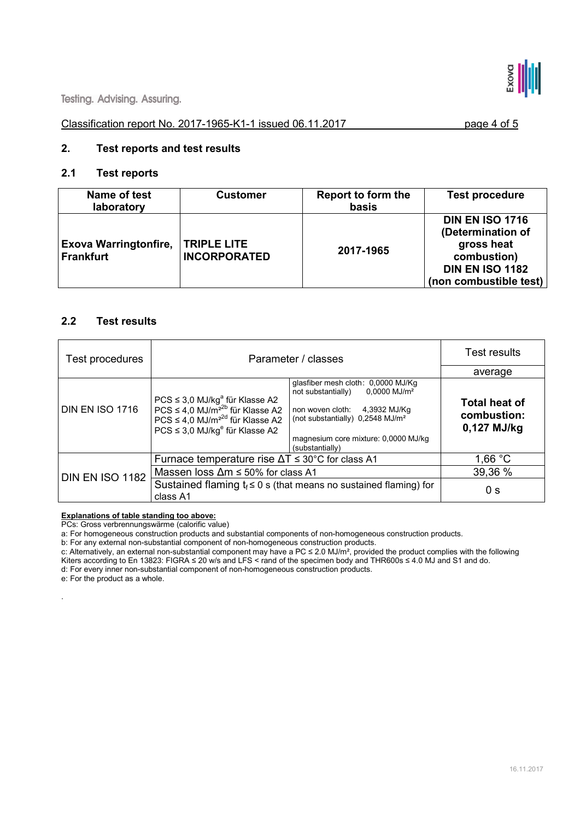

#### Classification report No. 2017-1965-K1-1 issued 06.11.2017 page 4 of 5

#### **2. Test reports and test results**

#### **2.1 Test reports**

| Name of test<br>laboratory                       | <b>Customer</b>                           | Report to form the<br>basis | <b>Test procedure</b>                                                                                                        |
|--------------------------------------------------|-------------------------------------------|-----------------------------|------------------------------------------------------------------------------------------------------------------------------|
| <b>Exova Warringtonfire,</b><br><b>Frankfurt</b> | <b>TRIPLE LITE</b><br><b>INCORPORATED</b> | 2017-1965                   | <b>DIN EN ISO 1716</b><br>(Determination of<br>gross heat<br>combustion)<br><b>DIN EN ISO 1182</b><br>(non combustible test) |

#### **2.2 Test results**

| Test procedures        | Parameter / classes                                                                                                                                                                                        |                                                                                                                                                                                                                                       | Test results                                         |
|------------------------|------------------------------------------------------------------------------------------------------------------------------------------------------------------------------------------------------------|---------------------------------------------------------------------------------------------------------------------------------------------------------------------------------------------------------------------------------------|------------------------------------------------------|
|                        |                                                                                                                                                                                                            |                                                                                                                                                                                                                                       | average                                              |
| <b>DIN EN ISO 1716</b> | $PCS \leq 3.0$ MJ/kg <sup>a</sup> für Klasse A2<br>$PCS \leq 4.0$ MJ/m <sup>22b</sup> für Klasse A2<br>$PCS \leq 4.0$ MJ/m <sup>22d</sup> für Klasse A2<br>$PCS \leq 3.0$ MJ/kg <sup>e</sup> für Klasse A2 | glasfiber mesh cloth: 0,0000 MJ/Kg<br>$0,0000$ MJ/m <sup>2</sup><br>not substantially)<br>4,3932 MJ/Kg<br>non woven cloth:<br>(not substantially) 0,2548 MJ/m <sup>2</sup><br>magnesium core mixture: 0,0000 MJ/kg<br>(substantially) | <b>Total heat of</b><br>combustion:<br>$0,127$ MJ/kg |
|                        | Furnace temperature rise $\Delta T \leq 30^{\circ}$ C for class A1                                                                                                                                         |                                                                                                                                                                                                                                       | 1,66 $°C$                                            |
| <b>DIN EN ISO 1182</b> | Massen loss $\Delta m \le 50\%$ for class A1                                                                                                                                                               | 39,36 %                                                                                                                                                                                                                               |                                                      |
|                        | class A1                                                                                                                                                                                                   | Sustained flaming $t_f \leq 0$ s (that means no sustained flaming) for                                                                                                                                                                | 0 <sub>s</sub>                                       |

**Explanations of table standing too above:** 

PCs: Gross verbrennungswärme (calorific value)

a: For homogeneous construction products and substantial components of non-homogeneous construction products.

b: For any external non-substantial component of non-homogeneous construction products.

c: Alternatively, an external non-substantial component may have a PC  $\leq$  2.0 MJ/m<sup>2</sup>, provided the product complies with the following Kiters according to En 13823: FIGRA ≤ 20 w/s and LFS < rand of the specimen body and THR600s ≤ 4.0 MJ and S1 and do.

d: For every inner non-substantial component of non-homogeneous construction products.

e: For the product as a whole.

.